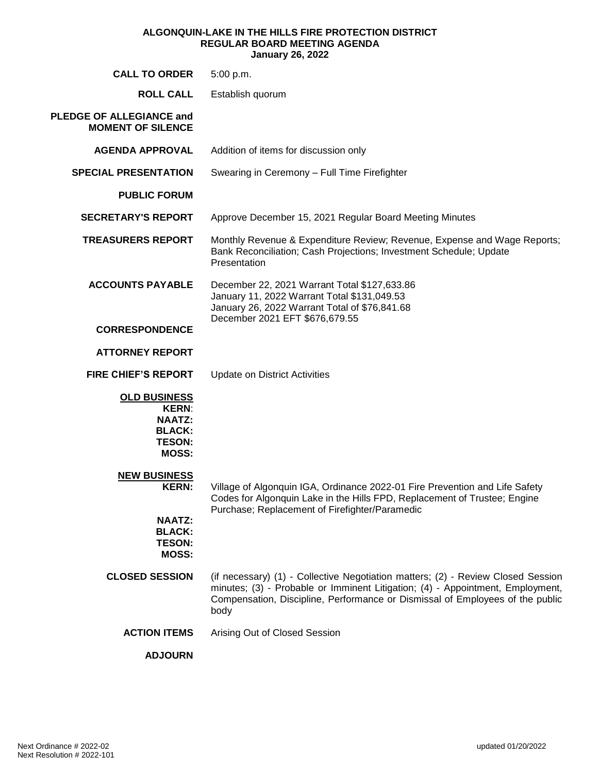#### **ALGONQUIN-LAKE IN THE HILLS FIRE PROTECTION DISTRICT REGULAR BOARD MEETING AGENDA January 26, 2022**

| <b>CALL TO ORDER</b>                                                                                   | 5:00 p.m.                                                                                                                                                                                                                                                   |  |  |  |  |  |
|--------------------------------------------------------------------------------------------------------|-------------------------------------------------------------------------------------------------------------------------------------------------------------------------------------------------------------------------------------------------------------|--|--|--|--|--|
| <b>ROLL CALL</b>                                                                                       | Establish quorum                                                                                                                                                                                                                                            |  |  |  |  |  |
| PLEDGE OF ALLEGIANCE and<br><b>MOMENT OF SILENCE</b>                                                   |                                                                                                                                                                                                                                                             |  |  |  |  |  |
| <b>AGENDA APPROVAL</b>                                                                                 | Addition of items for discussion only                                                                                                                                                                                                                       |  |  |  |  |  |
| <b>SPECIAL PRESENTATION</b>                                                                            | Swearing in Ceremony - Full Time Firefighter                                                                                                                                                                                                                |  |  |  |  |  |
| <b>PUBLIC FORUM</b>                                                                                    |                                                                                                                                                                                                                                                             |  |  |  |  |  |
| <b>SECRETARY'S REPORT</b>                                                                              | Approve December 15, 2021 Regular Board Meeting Minutes                                                                                                                                                                                                     |  |  |  |  |  |
| <b>TREASURERS REPORT</b>                                                                               | Monthly Revenue & Expenditure Review; Revenue, Expense and Wage Reports;<br>Bank Reconciliation; Cash Projections; Investment Schedule; Update<br>Presentation                                                                                              |  |  |  |  |  |
| <b>ACCOUNTS PAYABLE</b>                                                                                | December 22, 2021 Warrant Total \$127,633.86<br>January 11, 2022 Warrant Total \$131,049.53<br>January 26, 2022 Warrant Total of \$76,841.68                                                                                                                |  |  |  |  |  |
| <b>CORRESPONDENCE</b>                                                                                  | December 2021 EFT \$676,679.55                                                                                                                                                                                                                              |  |  |  |  |  |
| <b>ATTORNEY REPORT</b>                                                                                 |                                                                                                                                                                                                                                                             |  |  |  |  |  |
| <b>FIRE CHIEF'S REPORT</b>                                                                             | <b>Update on District Activities</b>                                                                                                                                                                                                                        |  |  |  |  |  |
| <b>OLD BUSINESS</b><br><b>KERN:</b><br><b>NAATZ:</b><br><b>BLACK:</b><br><b>TESON:</b><br><b>MOSS:</b> |                                                                                                                                                                                                                                                             |  |  |  |  |  |
| <b>NEW BUSINESS</b><br><b>KERN:</b>                                                                    | Village of Algonquin IGA, Ordinance 2022-01 Fire Prevention and Life Safety<br>Codes for Algonquin Lake in the Hills FPD, Replacement of Trustee; Engine<br>Purchase; Replacement of Firefighter/Paramedic                                                  |  |  |  |  |  |
| <b>NAATZ:</b><br><b>BLACK:</b><br><b>TESON:</b><br>MOSS:                                               |                                                                                                                                                                                                                                                             |  |  |  |  |  |
| <b>CLOSED SESSION</b>                                                                                  | (if necessary) (1) - Collective Negotiation matters; (2) - Review Closed Session<br>minutes; (3) - Probable or Imminent Litigation; (4) - Appointment, Employment,<br>Compensation, Discipline, Performance or Dismissal of Employees of the public<br>body |  |  |  |  |  |
| <b>ACTION ITEMS</b>                                                                                    | Arising Out of Closed Session                                                                                                                                                                                                                               |  |  |  |  |  |
| <b>ADJOURN</b>                                                                                         |                                                                                                                                                                                                                                                             |  |  |  |  |  |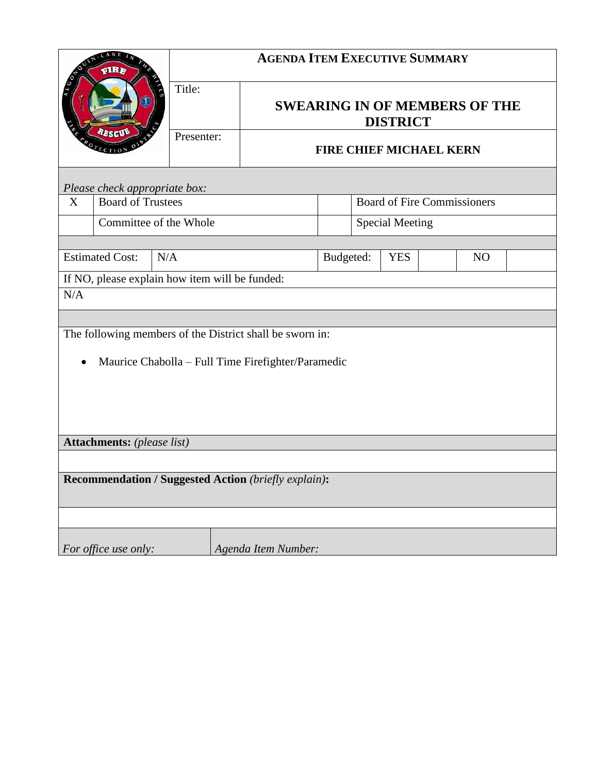| LAKE<br>dRr                                              |                          | <b>AGENDA ITEM EXECUTIVE SUMMARY</b> |                     |                                                         |                                    |                        |  |  |  |  |  |
|----------------------------------------------------------|--------------------------|--------------------------------------|---------------------|---------------------------------------------------------|------------------------------------|------------------------|--|--|--|--|--|
|                                                          |                          | Title:                               |                     | <b>SWEARING IN OF MEMBERS OF THE</b><br><b>DISTRICT</b> |                                    |                        |  |  |  |  |  |
|                                                          | RESCUE                   | Presenter:                           |                     | <b>FIRE CHIEF MICHAEL KERN</b>                          |                                    |                        |  |  |  |  |  |
| Please check appropriate box:                            |                          |                                      |                     |                                                         |                                    |                        |  |  |  |  |  |
| X                                                        | <b>Board of Trustees</b> |                                      |                     |                                                         | <b>Board of Fire Commissioners</b> |                        |  |  |  |  |  |
|                                                          | Committee of the Whole   |                                      |                     |                                                         |                                    | <b>Special Meeting</b> |  |  |  |  |  |
|                                                          |                          |                                      |                     |                                                         |                                    |                        |  |  |  |  |  |
| <b>Estimated Cost:</b><br>N/A                            |                          |                                      | Budgeted:           |                                                         | <b>YES</b><br>N <sub>O</sub>       |                        |  |  |  |  |  |
| If NO, please explain how item will be funded:           |                          |                                      |                     |                                                         |                                    |                        |  |  |  |  |  |
| N/A                                                      |                          |                                      |                     |                                                         |                                    |                        |  |  |  |  |  |
|                                                          |                          |                                      |                     |                                                         |                                    |                        |  |  |  |  |  |
| The following members of the District shall be sworn in: |                          |                                      |                     |                                                         |                                    |                        |  |  |  |  |  |
|                                                          |                          |                                      |                     |                                                         |                                    |                        |  |  |  |  |  |
| Maurice Chabolla - Full Time Firefighter/Paramedic       |                          |                                      |                     |                                                         |                                    |                        |  |  |  |  |  |
|                                                          |                          |                                      |                     |                                                         |                                    |                        |  |  |  |  |  |
|                                                          |                          |                                      |                     |                                                         |                                    |                        |  |  |  |  |  |
|                                                          |                          |                                      |                     |                                                         |                                    |                        |  |  |  |  |  |
| <b>Attachments:</b> (please list)                        |                          |                                      |                     |                                                         |                                    |                        |  |  |  |  |  |
|                                                          |                          |                                      |                     |                                                         |                                    |                        |  |  |  |  |  |
| Recommendation / Suggested Action (briefly explain):     |                          |                                      |                     |                                                         |                                    |                        |  |  |  |  |  |
|                                                          |                          |                                      |                     |                                                         |                                    |                        |  |  |  |  |  |
|                                                          | For office use only:     |                                      | Agenda Item Number: |                                                         |                                    |                        |  |  |  |  |  |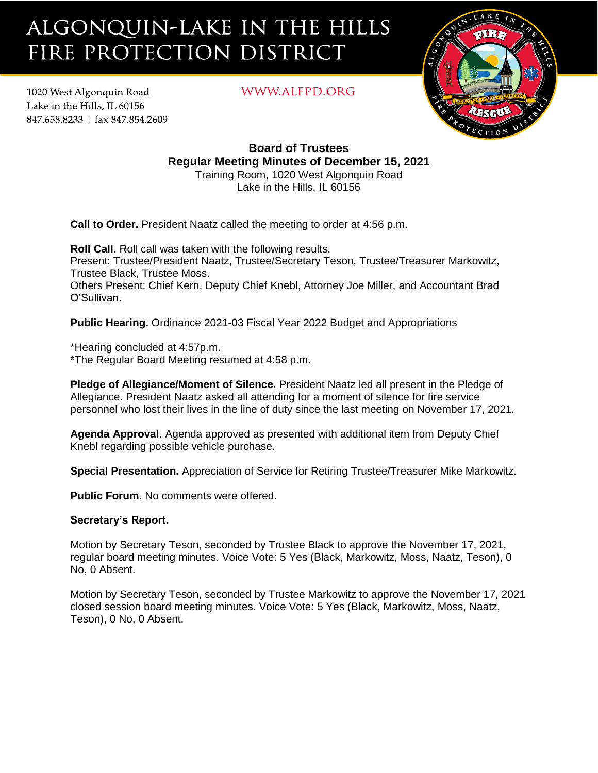# ALGONQUIN-LAKE IN THE HILLS FIRE PROTECTION DISTRICT

1020 West Algonquin Road Lake in the Hills. IL 60156 847.658.8233 | fax 847.854.2609 WWW.ALFPD.ORG



## **Board of Trustees Regular Meeting Minutes of December 15, 2021** Training Room, 1020 West Algonquin Road

Lake in the Hills, IL 60156

**Call to Order.** President Naatz called the meeting to order at 4:56 p.m.

**Roll Call.** Roll call was taken with the following results. Present: Trustee/President Naatz, Trustee/Secretary Teson, Trustee/Treasurer Markowitz, Trustee Black, Trustee Moss. Others Present: Chief Kern, Deputy Chief Knebl, Attorney Joe Miller, and Accountant Brad O'Sullivan.

**Public Hearing.** Ordinance 2021-03 Fiscal Year 2022 Budget and Appropriations

\*Hearing concluded at 4:57p.m. \*The Regular Board Meeting resumed at 4:58 p.m.

**Pledge of Allegiance/Moment of Silence.** President Naatz led all present in the Pledge of Allegiance. President Naatz asked all attending for a moment of silence for fire service personnel who lost their lives in the line of duty since the last meeting on November 17, 2021.

**Agenda Approval.** Agenda approved as presented with additional item from Deputy Chief Knebl regarding possible vehicle purchase.

**Special Presentation.** Appreciation of Service for Retiring Trustee/Treasurer Mike Markowitz.

**Public Forum.** No comments were offered.

### **Secretary's Report.**

Motion by Secretary Teson, seconded by Trustee Black to approve the November 17, 2021, regular board meeting minutes. Voice Vote: 5 Yes (Black, Markowitz, Moss, Naatz, Teson), 0 No, 0 Absent.

Motion by Secretary Teson, seconded by Trustee Markowitz to approve the November 17, 2021 closed session board meeting minutes. Voice Vote: 5 Yes (Black, Markowitz, Moss, Naatz, Teson), 0 No, 0 Absent.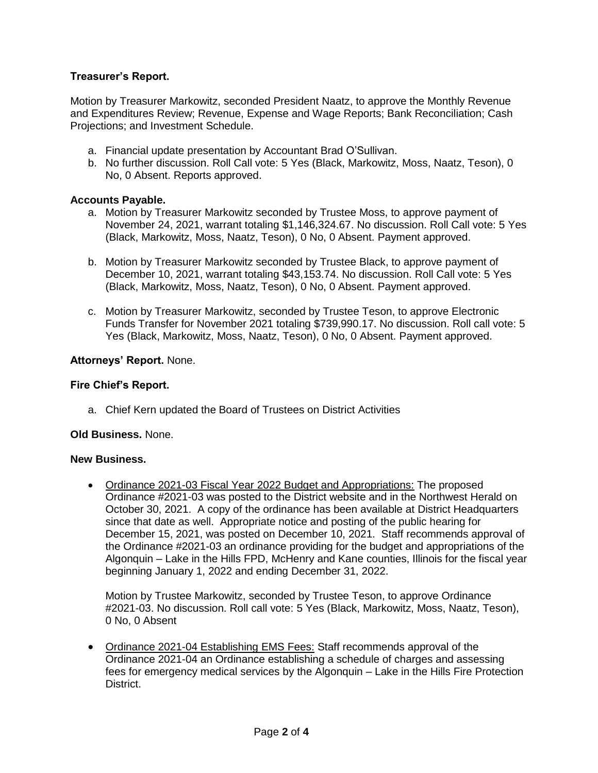### **Treasurer's Report.**

Motion by Treasurer Markowitz, seconded President Naatz, to approve the Monthly Revenue and Expenditures Review; Revenue, Expense and Wage Reports; Bank Reconciliation; Cash Projections; and Investment Schedule.

- a. Financial update presentation by Accountant Brad O'Sullivan.
- b. No further discussion. Roll Call vote: 5 Yes (Black, Markowitz, Moss, Naatz, Teson), 0 No, 0 Absent. Reports approved.

#### **Accounts Payable.**

- a. Motion by Treasurer Markowitz seconded by Trustee Moss, to approve payment of November 24, 2021, warrant totaling \$1,146,324.67. No discussion. Roll Call vote: 5 Yes (Black, Markowitz, Moss, Naatz, Teson), 0 No, 0 Absent. Payment approved.
- b. Motion by Treasurer Markowitz seconded by Trustee Black, to approve payment of December 10, 2021, warrant totaling \$43,153.74. No discussion. Roll Call vote: 5 Yes (Black, Markowitz, Moss, Naatz, Teson), 0 No, 0 Absent. Payment approved.
- c. Motion by Treasurer Markowitz, seconded by Trustee Teson, to approve Electronic Funds Transfer for November 2021 totaling \$739,990.17. No discussion. Roll call vote: 5 Yes (Black, Markowitz, Moss, Naatz, Teson), 0 No, 0 Absent. Payment approved.

#### **Attorneys' Report.** None.

#### **Fire Chief's Report.**

a. Chief Kern updated the Board of Trustees on District Activities

#### **Old Business.** None.

#### **New Business.**

• Ordinance 2021-03 Fiscal Year 2022 Budget and Appropriations: The proposed Ordinance #2021-03 was posted to the District website and in the Northwest Herald on October 30, 2021. A copy of the ordinance has been available at District Headquarters since that date as well. Appropriate notice and posting of the public hearing for December 15, 2021, was posted on December 10, 2021. Staff recommends approval of the Ordinance #2021-03 an ordinance providing for the budget and appropriations of the Algonquin – Lake in the Hills FPD, McHenry and Kane counties, Illinois for the fiscal year beginning January 1, 2022 and ending December 31, 2022.

Motion by Trustee Markowitz, seconded by Trustee Teson, to approve Ordinance #2021-03. No discussion. Roll call vote: 5 Yes (Black, Markowitz, Moss, Naatz, Teson), 0 No, 0 Absent

• Ordinance 2021-04 Establishing EMS Fees: Staff recommends approval of the Ordinance 2021-04 an Ordinance establishing a schedule of charges and assessing fees for emergency medical services by the Algonquin – Lake in the Hills Fire Protection District.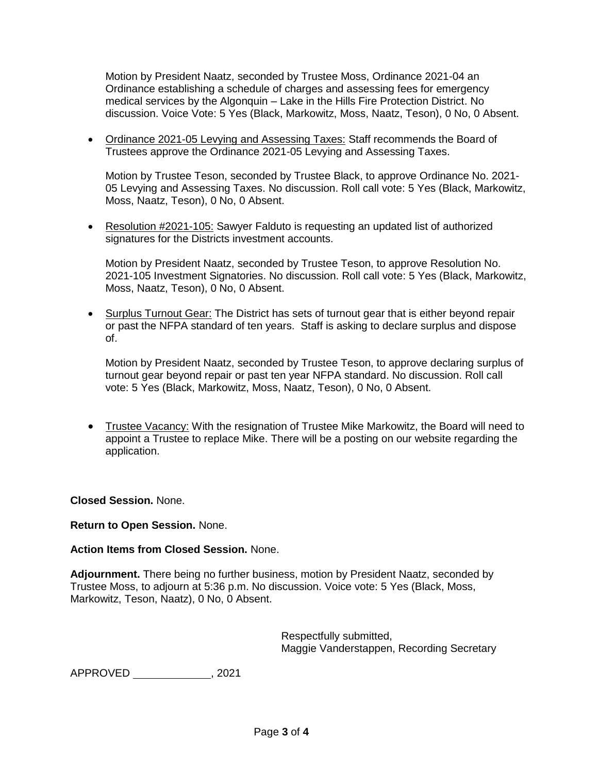Motion by President Naatz, seconded by Trustee Moss, Ordinance 2021-04 an Ordinance establishing a schedule of charges and assessing fees for emergency medical services by the Algonquin – Lake in the Hills Fire Protection District. No discussion. Voice Vote: 5 Yes (Black, Markowitz, Moss, Naatz, Teson), 0 No, 0 Absent.

• Ordinance 2021-05 Levying and Assessing Taxes: Staff recommends the Board of Trustees approve the Ordinance 2021-05 Levying and Assessing Taxes.

Motion by Trustee Teson, seconded by Trustee Black, to approve Ordinance No. 2021- 05 Levying and Assessing Taxes. No discussion. Roll call vote: 5 Yes (Black, Markowitz, Moss, Naatz, Teson), 0 No, 0 Absent.

• Resolution #2021-105: Sawyer Falduto is requesting an updated list of authorized signatures for the Districts investment accounts.

Motion by President Naatz, seconded by Trustee Teson, to approve Resolution No. 2021-105 Investment Signatories. No discussion. Roll call vote: 5 Yes (Black, Markowitz, Moss, Naatz, Teson), 0 No, 0 Absent.

• Surplus Turnout Gear: The District has sets of turnout gear that is either beyond repair or past the NFPA standard of ten years. Staff is asking to declare surplus and dispose of.

Motion by President Naatz, seconded by Trustee Teson, to approve declaring surplus of turnout gear beyond repair or past ten year NFPA standard. No discussion. Roll call vote: 5 Yes (Black, Markowitz, Moss, Naatz, Teson), 0 No, 0 Absent.

• Trustee Vacancy: With the resignation of Trustee Mike Markowitz, the Board will need to appoint a Trustee to replace Mike. There will be a posting on our website regarding the application.

**Closed Session.** None.

### **Return to Open Session.** None.

### **Action Items from Closed Session.** None.

**Adjournment.** There being no further business, motion by President Naatz, seconded by Trustee Moss, to adjourn at 5:36 p.m. No discussion. Voice vote: 5 Yes (Black, Moss, Markowitz, Teson, Naatz), 0 No, 0 Absent.

> Respectfully submitted, Maggie Vanderstappen, Recording Secretary

APPROVED \_\_\_\_\_\_\_\_\_\_\_\_\_\_, 2021